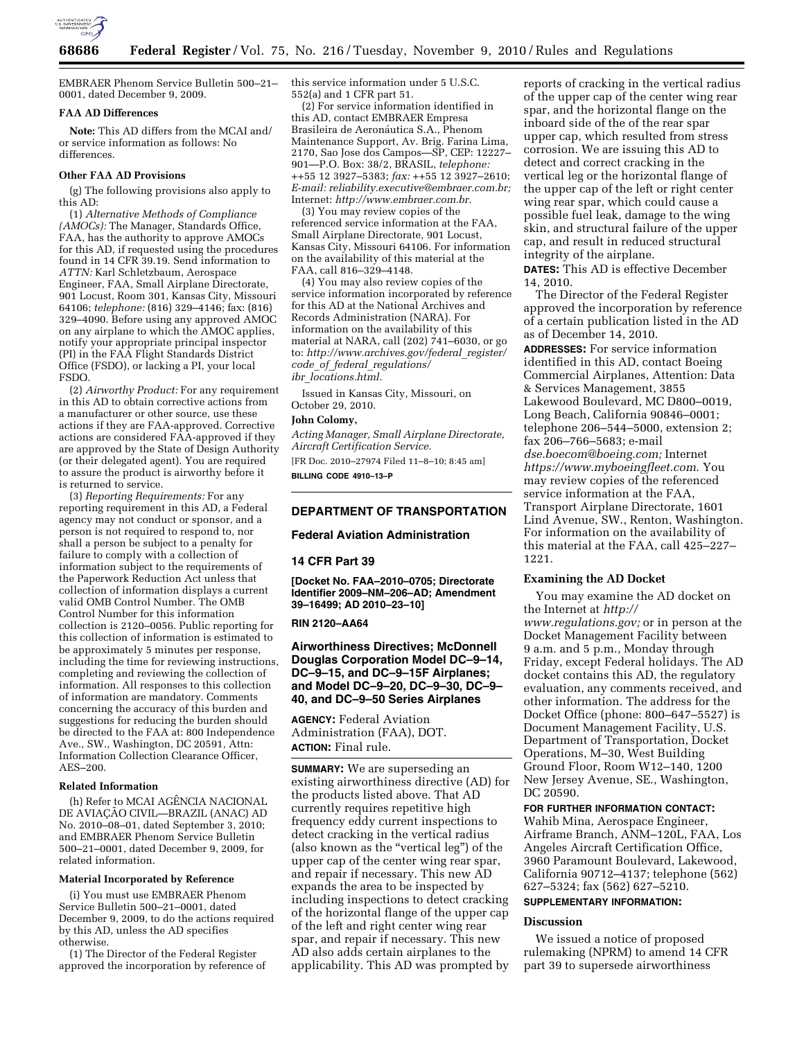

EMBRAER Phenom Service Bulletin 500–21– 0001, dated December 9, 2009.

### **FAA AD Differences**

**Note:** This AD differs from the MCAI and/ or service information as follows: No differences.

#### **Other FAA AD Provisions**

(g) The following provisions also apply to this AD:

(1) *Alternative Methods of Compliance (AMOCs):* The Manager, Standards Office, FAA, has the authority to approve AMOCs for this AD, if requested using the procedures found in 14 CFR 39.19. Send information to *ATTN:* Karl Schletzbaum, Aerospace Engineer, FAA, Small Airplane Directorate, 901 Locust, Room 301, Kansas City, Missouri 64106; *telephone:* (816) 329–4146; fax: (816) 329–4090. Before using any approved AMOC on any airplane to which the AMOC applies, notify your appropriate principal inspector (PI) in the FAA Flight Standards District Office (FSDO), or lacking a PI, your local FSDO.

(2) *Airworthy Product:* For any requirement in this AD to obtain corrective actions from a manufacturer or other source, use these actions if they are FAA-approved. Corrective actions are considered FAA-approved if they are approved by the State of Design Authority (or their delegated agent). You are required to assure the product is airworthy before it is returned to service.

(3) *Reporting Requirements:* For any reporting requirement in this AD, a Federal agency may not conduct or sponsor, and a person is not required to respond to, nor shall a person be subject to a penalty for failure to comply with a collection of information subject to the requirements of the Paperwork Reduction Act unless that collection of information displays a current valid OMB Control Number. The OMB Control Number for this information collection is 2120–0056. Public reporting for this collection of information is estimated to be approximately 5 minutes per response, including the time for reviewing instructions, completing and reviewing the collection of information. All responses to this collection of information are mandatory. Comments concerning the accuracy of this burden and suggestions for reducing the burden should be directed to the FAA at: 800 Independence Ave., SW., Washington, DC 20591, Attn: Information Collection Clearance Officer, AES–200.

# **Related Information**

(h) Refer to MCAI AGÊNCIA NACIONAL DE AVIAÇÃO CIVIL—BRAZIL (ANAC) AD No. 2010–08–01, dated September 3, 2010; and EMBRAER Phenom Service Bulletin 500–21–0001, dated December 9, 2009, for related information.

### **Material Incorporated by Reference**

(i) You must use EMBRAER Phenom Service Bulletin 500–21–0001, dated December 9, 2009, to do the actions required by this AD, unless the AD specifies otherwise.

(1) The Director of the Federal Register approved the incorporation by reference of this service information under 5 U.S.C. 552(a) and 1 CFR part 51.

(2) For service information identified in this AD, contact EMBRAER Empresa Brasileira de Aeronáutica S.A., Phenom Maintenance Support, Av. Brig. Farina Lima, 2170, Sao Jose dos Campos—SP, CEP: 12227– 901—P.O. Box: 38/2, BRASIL, *telephone:*  ++55 12 3927–5383; *fax:* ++55 12 3927–2610; *E-mail: [reliability.executive@embraer.com.br;](mailto:reliability.executive@embraer.com.br)*  Internet: *[http://www.embraer.com.br.](http://www.embraer.com.br)* 

(3) You may review copies of the referenced service information at the FAA, Small Airplane Directorate, 901 Locust, Kansas City, Missouri 64106. For information on the availability of this material at the FAA, call 816–329–4148.

(4) You may also review copies of the service information incorporated by reference for this AD at the National Archives and Records Administration (NARA). For information on the availability of this material at NARA, call (202) 741–6030, or go to: *[http://www.archives.gov/federal](http://www.archives.gov/federal_register/code_of_federal_regulations/ibr_locations.html)*\_*register/ code*\_*of*\_*federal*\_*[regulations/](http://www.archives.gov/federal_register/code_of_federal_regulations/ibr_locations.html) ibr*\_*[locations.html.](http://www.archives.gov/federal_register/code_of_federal_regulations/ibr_locations.html)* 

Issued in Kansas City, Missouri, on October 29, 2010.

#### **John Colomy,**

*Acting Manager, Small Airplane Directorate, Aircraft Certification Service.* 

[FR Doc. 2010–27974 Filed 11–8–10; 8:45 am] **BILLING CODE 4910–13–P** 

## **DEPARTMENT OF TRANSPORTATION**

## **Federal Aviation Administration**

### **14 CFR Part 39**

**[Docket No. FAA–2010–0705; Directorate Identifier 2009–NM–206–AD; Amendment 39–16499; AD 2010–23–10]** 

## **RIN 2120–AA64**

**Airworthiness Directives; McDonnell Douglas Corporation Model DC–9–14, DC–9–15, and DC–9–15F Airplanes; and Model DC–9–20, DC–9–30, DC–9– 40, and DC–9–50 Series Airplanes** 

**AGENCY:** Federal Aviation Administration (FAA), DOT. **ACTION:** Final rule.

**SUMMARY:** We are superseding an existing airworthiness directive (AD) for the products listed above. That AD currently requires repetitive high frequency eddy current inspections to detect cracking in the vertical radius (also known as the ''vertical leg'') of the upper cap of the center wing rear spar, and repair if necessary. This new AD expands the area to be inspected by including inspections to detect cracking of the horizontal flange of the upper cap of the left and right center wing rear spar, and repair if necessary. This new AD also adds certain airplanes to the applicability. This AD was prompted by

reports of cracking in the vertical radius of the upper cap of the center wing rear spar, and the horizontal flange on the inboard side of the of the rear spar upper cap, which resulted from stress corrosion. We are issuing this AD to detect and correct cracking in the vertical leg or the horizontal flange of the upper cap of the left or right center wing rear spar, which could cause a possible fuel leak, damage to the wing skin, and structural failure of the upper cap, and result in reduced structural integrity of the airplane.

**DATES:** This AD is effective December 14, 2010.

The Director of the Federal Register approved the incorporation by reference of a certain publication listed in the AD as of December 14, 2010.

**ADDRESSES:** For service information identified in this AD, contact Boeing Commercial Airplanes, Attention: Data & Services Management, 3855 Lakewood Boulevard, MC D800–0019, Long Beach, California 90846–0001; telephone 206–544–5000, extension 2; fax 206–766–5683; e-mail *[dse.boecom@boeing.com;](mailto:dse.boecom@boeing.com)* Internet *<https://www.myboeingfleet.com>*. You may review copies of the referenced service information at the FAA, Transport Airplane Directorate, 1601 Lind Avenue, SW., Renton, Washington. For information on the availability of this material at the FAA, call 425–227– 1221.

# **Examining the AD Docket**

You may examine the AD docket on the Internet at *[http://](http://www.regulations.gov)  [www.regulations.gov;](http://www.regulations.gov)* or in person at the Docket Management Facility between 9 a.m. and 5 p.m., Monday through Friday, except Federal holidays. The AD docket contains this AD, the regulatory evaluation, any comments received, and other information. The address for the Docket Office (phone: 800–647–5527) is Document Management Facility, U.S. Department of Transportation, Docket Operations, M–30, West Building Ground Floor, Room W12–140, 1200 New Jersey Avenue, SE., Washington, DC 20590.

# **FOR FURTHER INFORMATION CONTACT:**

Wahib Mina, Aerospace Engineer, Airframe Branch, ANM–120L, FAA, Los Angeles Aircraft Certification Office, 3960 Paramount Boulevard, Lakewood, California 90712–4137; telephone (562) 627–5324; fax (562) 627–5210.

# **SUPPLEMENTARY INFORMATION:**

# **Discussion**

We issued a notice of proposed rulemaking (NPRM) to amend 14 CFR part 39 to supersede airworthiness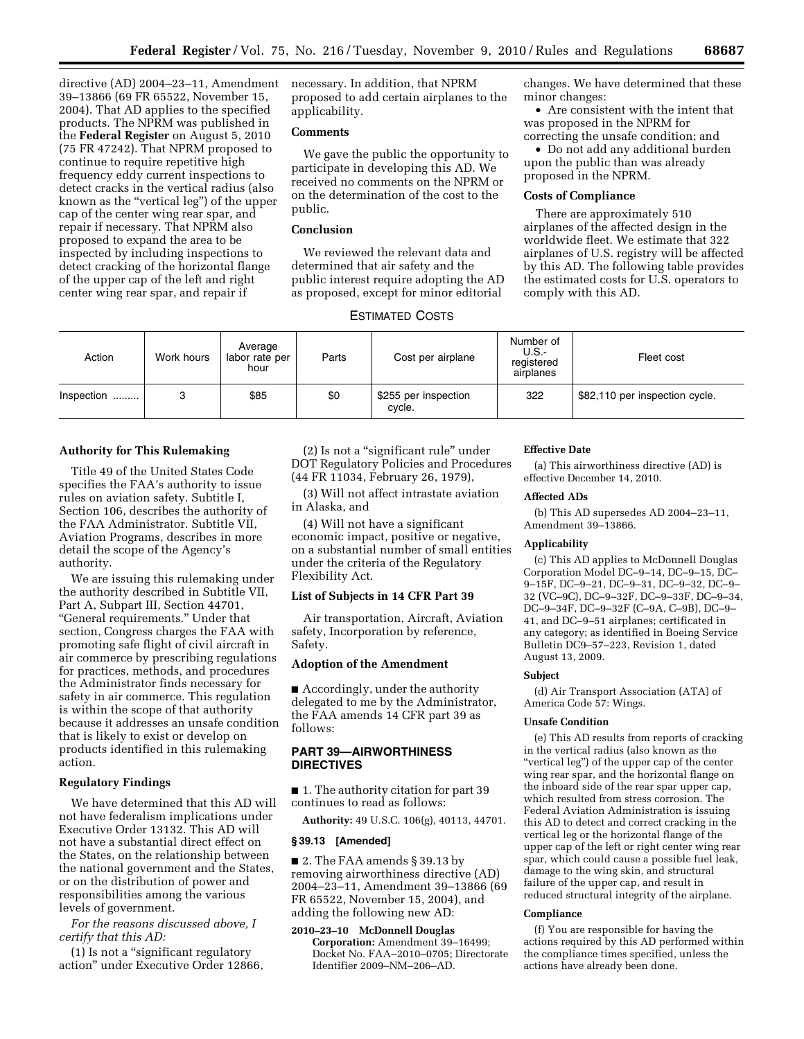directive (AD) 2004–23–11, Amendment 39–13866 (69 FR 65522, November 15, 2004). That AD applies to the specified products. The NPRM was published in the **Federal Register** on August 5, 2010 (75 FR 47242). That NPRM proposed to continue to require repetitive high frequency eddy current inspections to detect cracks in the vertical radius (also known as the "vertical leg") of the upper cap of the center wing rear spar, and repair if necessary. That NPRM also proposed to expand the area to be inspected by including inspections to detect cracking of the horizontal flange of the upper cap of the left and right center wing rear spar, and repair if

necessary. In addition, that NPRM proposed to add certain airplanes to the applicability.

## **Comments**

We gave the public the opportunity to participate in developing this AD. We received no comments on the NPRM or on the determination of the cost to the public.

# **Conclusion**

We reviewed the relevant data and determined that air safety and the public interest require adopting the AD as proposed, except for minor editorial changes. We have determined that these minor changes:

• Are consistent with the intent that was proposed in the NPRM for correcting the unsafe condition; and

• Do not add any additional burden upon the public than was already proposed in the NPRM.

#### **Costs of Compliance**

There are approximately 510 airplanes of the affected design in the worldwide fleet. We estimate that 322 airplanes of U.S. registry will be affected by this AD. The following table provides the estimated costs for U.S. operators to comply with this AD.

# ESTIMATED COSTS

| Action     | Work hours | Average<br>labor rate per<br>hour | Parts | Cost per airplane              | Number of<br>U.S.<br>registered<br>airplanes | Fleet cost                     |
|------------|------------|-----------------------------------|-------|--------------------------------|----------------------------------------------|--------------------------------|
| Inspection | 3          | \$85                              | \$0   | \$255 per inspection<br>cycle. | 322                                          | \$82,110 per inspection cycle. |

### **Authority for This Rulemaking**

Title 49 of the United States Code specifies the FAA's authority to issue rules on aviation safety. Subtitle I, Section 106, describes the authority of the FAA Administrator. Subtitle VII, Aviation Programs, describes in more detail the scope of the Agency's authority.

We are issuing this rulemaking under the authority described in Subtitle VII, Part A, Subpart III, Section 44701, ''General requirements.'' Under that section, Congress charges the FAA with promoting safe flight of civil aircraft in air commerce by prescribing regulations for practices, methods, and procedures the Administrator finds necessary for safety in air commerce. This regulation is within the scope of that authority because it addresses an unsafe condition that is likely to exist or develop on products identified in this rulemaking action.

### **Regulatory Findings**

We have determined that this AD will not have federalism implications under Executive Order 13132. This AD will not have a substantial direct effect on the States, on the relationship between the national government and the States, or on the distribution of power and responsibilities among the various levels of government.

*For the reasons discussed above, I certify that this AD:* 

(1) Is not a ''significant regulatory action'' under Executive Order 12866,

(2) Is not a ''significant rule'' under DOT Regulatory Policies and Procedures (44 FR 11034, February 26, 1979),

(3) Will not affect intrastate aviation in Alaska, and

(4) Will not have a significant economic impact, positive or negative, on a substantial number of small entities under the criteria of the Regulatory Flexibility Act.

### **List of Subjects in 14 CFR Part 39**

Air transportation, Aircraft, Aviation safety, Incorporation by reference, Safety.

# **Adoption of the Amendment**

■ Accordingly, under the authority delegated to me by the Administrator, the FAA amends 14 CFR part 39 as follows:

# **PART 39—AIRWORTHINESS DIRECTIVES**

■ 1. The authority citation for part 39 continues to read as follows:

**Authority:** 49 U.S.C. 106(g), 40113, 44701.

# **§ 39.13 [Amended]**

■ 2. The FAA amends § 39.13 by removing airworthiness directive (AD) 2004–23–11, Amendment 39–13866 (69 FR 65522, November 15, 2004), and adding the following new AD:

# **2010–23–10 McDonnell Douglas**

**Corporation:** Amendment 39–16499; Docket No. FAA–2010–0705; Directorate Identifier 2009–NM–206–AD.

#### **Effective Date**

(a) This airworthiness directive (AD) is effective December 14, 2010.

### **Affected ADs**

(b) This AD supersedes AD 2004–23–11, Amendment 39–13866.

#### **Applicability**

(c) This AD applies to McDonnell Douglas Corporation Model DC–9–14, DC–9–15, DC– 9–15F, DC–9–21, DC–9–31, DC–9–32, DC–9– 32 (VC–9C), DC–9–32F, DC–9–33F, DC–9–34, DC–9–34F, DC–9–32F (C–9A, C–9B), DC–9– 41, and DC–9–51 airplanes; certificated in any category; as identified in Boeing Service Bulletin DC9–57–223, Revision 1, dated August 13, 2009.

#### **Subject**

(d) Air Transport Association (ATA) of America Code 57: Wings.

#### **Unsafe Condition**

(e) This AD results from reports of cracking in the vertical radius (also known as the ''vertical leg'') of the upper cap of the center wing rear spar, and the horizontal flange on the inboard side of the rear spar upper cap, which resulted from stress corrosion. The Federal Aviation Administration is issuing this AD to detect and correct cracking in the vertical leg or the horizontal flange of the upper cap of the left or right center wing rear spar, which could cause a possible fuel leak, damage to the wing skin, and structural failure of the upper cap, and result in reduced structural integrity of the airplane.

### **Compliance**

(f) You are responsible for having the actions required by this AD performed within the compliance times specified, unless the actions have already been done.